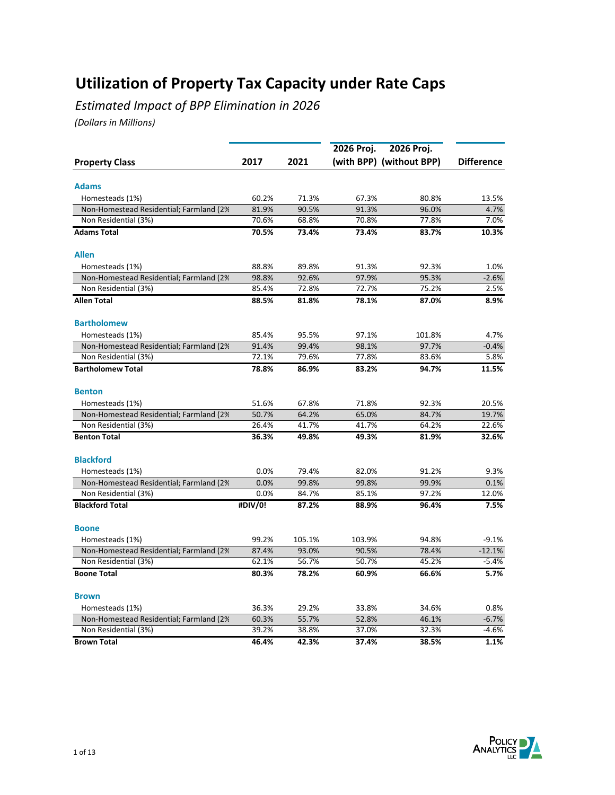*Estimated Impact of BPP Elimination in 2026*

|                                          |         |        | 2026 Proj. | 2026 Proj.               |                   |
|------------------------------------------|---------|--------|------------|--------------------------|-------------------|
| <b>Property Class</b>                    | 2017    | 2021   |            | (with BPP) (without BPP) | <b>Difference</b> |
|                                          |         |        |            |                          |                   |
| <b>Adams</b>                             |         |        |            |                          |                   |
| Homesteads (1%)                          | 60.2%   | 71.3%  | 67.3%      | 80.8%                    | 13.5%             |
| Non-Homestead Residential; Farmland (2%) | 81.9%   | 90.5%  | 91.3%      | 96.0%                    | 4.7%              |
| Non Residential (3%)                     | 70.6%   | 68.8%  | 70.8%      | 77.8%                    | 7.0%              |
| <b>Adams Total</b>                       | 70.5%   | 73.4%  | 73.4%      | 83.7%                    | 10.3%             |
| <b>Allen</b>                             |         |        |            |                          |                   |
| Homesteads (1%)                          | 88.8%   | 89.8%  | 91.3%      | 92.3%                    | 1.0%              |
| Non-Homestead Residential; Farmland (2%) | 98.8%   | 92.6%  | 97.9%      | 95.3%                    | $-2.6%$           |
| Non Residential (3%)                     | 85.4%   | 72.8%  | 72.7%      | 75.2%                    | 2.5%              |
| <b>Allen Total</b>                       | 88.5%   | 81.8%  | 78.1%      | 87.0%                    | 8.9%              |
| <b>Bartholomew</b>                       |         |        |            |                          |                   |
| Homesteads (1%)                          | 85.4%   | 95.5%  | 97.1%      | 101.8%                   | 4.7%              |
| Non-Homestead Residential; Farmland (2%  | 91.4%   | 99.4%  | 98.1%      | 97.7%                    | $-0.4%$           |
| Non Residential (3%)                     | 72.1%   | 79.6%  | 77.8%      | 83.6%                    | 5.8%              |
| <b>Bartholomew Total</b>                 | 78.8%   | 86.9%  | 83.2%      | 94.7%                    | 11.5%             |
| <b>Benton</b>                            |         |        |            |                          |                   |
| Homesteads (1%)                          | 51.6%   | 67.8%  | 71.8%      | 92.3%                    | 20.5%             |
| Non-Homestead Residential; Farmland (2%) | 50.7%   | 64.2%  | 65.0%      | 84.7%                    | 19.7%             |
| Non Residential (3%)                     | 26.4%   | 41.7%  | 41.7%      | 64.2%                    | 22.6%             |
| <b>Benton Total</b>                      | 36.3%   | 49.8%  | 49.3%      | 81.9%                    | 32.6%             |
| <b>Blackford</b>                         |         |        |            |                          |                   |
| Homesteads (1%)                          | 0.0%    | 79.4%  | 82.0%      | 91.2%                    | 9.3%              |
| Non-Homestead Residential; Farmland (2%) | 0.0%    | 99.8%  | 99.8%      | 99.9%                    | 0.1%              |
| Non Residential (3%)                     | 0.0%    | 84.7%  | 85.1%      | 97.2%                    | 12.0%             |
| <b>Blackford Total</b>                   | #DIV/0! | 87.2%  | 88.9%      | 96.4%                    | 7.5%              |
| <b>Boone</b>                             |         |        |            |                          |                   |
| Homesteads (1%)                          | 99.2%   | 105.1% | 103.9%     | 94.8%                    | $-9.1%$           |
| Non-Homestead Residential; Farmland (2%) | 87.4%   | 93.0%  | 90.5%      | 78.4%                    | $-12.1%$          |
| Non Residential (3%)                     | 62.1%   | 56.7%  | 50.7%      | 45.2%                    | $-5.4%$           |
| <b>Boone Total</b>                       | 80.3%   | 78.2%  | 60.9%      | 66.6%                    | 5.7%              |
|                                          |         |        |            |                          |                   |
| <b>Brown</b>                             |         |        |            |                          |                   |
| Homesteads (1%)                          | 36.3%   | 29.2%  | 33.8%      | 34.6%                    | 0.8%              |
| Non-Homestead Residential; Farmland (2%) | 60.3%   | 55.7%  | 52.8%      | 46.1%                    | $-6.7%$           |
| Non Residential (3%)                     | 39.2%   | 38.8%  | 37.0%      | 32.3%                    | $-4.6%$           |
| <b>Brown Total</b>                       | 46.4%   | 42.3%  | 37.4%      | 38.5%                    | 1.1%              |

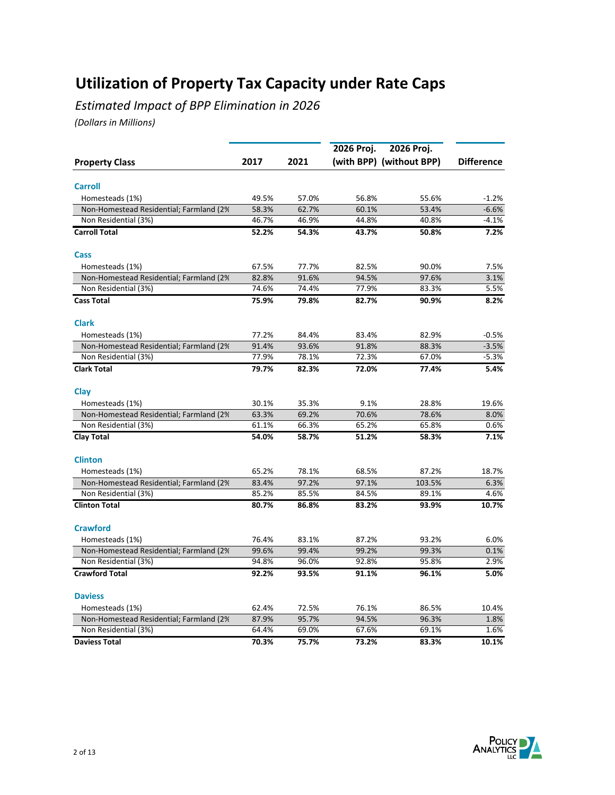*Estimated Impact of BPP Elimination in 2026*

|                                                             |       |       | 2026 Proj. | 2026 Proj.               |                   |
|-------------------------------------------------------------|-------|-------|------------|--------------------------|-------------------|
| <b>Property Class</b>                                       | 2017  | 2021  |            | (with BPP) (without BPP) | <b>Difference</b> |
|                                                             |       |       |            |                          |                   |
| <b>Carroll</b>                                              |       |       |            |                          |                   |
| Homesteads (1%)                                             | 49.5% | 57.0% | 56.8%      | 55.6%                    | $-1.2%$           |
| Non-Homestead Residential; Farmland (2%)                    | 58.3% | 62.7% | 60.1%      | 53.4%                    | $-6.6%$           |
| Non Residential (3%)                                        | 46.7% | 46.9% | 44.8%      | 40.8%                    | $-4.1%$           |
| <b>Carroll Total</b>                                        | 52.2% | 54.3% | 43.7%      | 50.8%                    | 7.2%              |
| Cass                                                        |       |       |            |                          |                   |
| Homesteads (1%)                                             | 67.5% | 77.7% | 82.5%      | 90.0%                    | 7.5%              |
| Non-Homestead Residential; Farmland (2%                     | 82.8% | 91.6% | 94.5%      | 97.6%                    | 3.1%              |
| Non Residential (3%)                                        | 74.6% | 74.4% | 77.9%      | 83.3%                    | 5.5%              |
| <b>Cass Total</b>                                           | 75.9% | 79.8% | 82.7%      | 90.9%                    | 8.2%              |
| <b>Clark</b>                                                |       |       |            |                          |                   |
| Homesteads (1%)                                             | 77.2% | 84.4% | 83.4%      | 82.9%                    | $-0.5%$           |
| Non-Homestead Residential; Farmland (2%                     | 91.4% | 93.6% | 91.8%      | 88.3%                    | $-3.5%$           |
| Non Residential (3%)                                        | 77.9% | 78.1% | 72.3%      | 67.0%                    | $-5.3%$           |
| <b>Clark Total</b>                                          | 79.7% | 82.3% | 72.0%      | 77.4%                    | 5.4%              |
| Clay                                                        |       |       |            |                          |                   |
| Homesteads (1%)                                             | 30.1% | 35.3% | 9.1%       | 28.8%                    | 19.6%             |
| Non-Homestead Residential; Farmland (2%                     | 63.3% | 69.2% | 70.6%      | 78.6%                    | 8.0%              |
| Non Residential (3%)                                        | 61.1% | 66.3% | 65.2%      | 65.8%                    | 0.6%              |
| <b>Clay Total</b>                                           | 54.0% | 58.7% | 51.2%      | 58.3%                    | 7.1%              |
| <b>Clinton</b>                                              |       |       |            |                          |                   |
|                                                             | 65.2% | 78.1% | 68.5%      | 87.2%                    | 18.7%             |
| Homesteads (1%)<br>Non-Homestead Residential; Farmland (2%) | 83.4% | 97.2% | 97.1%      | 103.5%                   | 6.3%              |
| Non Residential (3%)                                        | 85.2% | 85.5% | 84.5%      | 89.1%                    | 4.6%              |
|                                                             |       |       |            |                          |                   |
| <b>Clinton Total</b>                                        | 80.7% | 86.8% | 83.2%      | 93.9%                    | 10.7%             |
| <b>Crawford</b>                                             |       |       |            |                          |                   |
| Homesteads (1%)                                             | 76.4% | 83.1% | 87.2%      | 93.2%                    | 6.0%              |
| Non-Homestead Residential; Farmland (2%)                    | 99.6% | 99.4% | 99.2%      | 99.3%                    | 0.1%              |
| Non Residential (3%)                                        | 94.8% | 96.0% | 92.8%      | 95.8%                    | 2.9%              |
| <b>Crawford Total</b>                                       | 92.2% | 93.5% | 91.1%      | 96.1%                    | 5.0%              |
| <b>Daviess</b>                                              |       |       |            |                          |                   |
| Homesteads (1%)                                             | 62.4% | 72.5% | 76.1%      | 86.5%                    | 10.4%             |
| Non-Homestead Residential; Farmland (2%)                    | 87.9% | 95.7% | 94.5%      | 96.3%                    | 1.8%              |
| Non Residential (3%)                                        | 64.4% | 69.0% | 67.6%      | 69.1%                    | 1.6%              |
| <b>Daviess Total</b>                                        | 70.3% | 75.7% | 73.2%      | 83.3%                    | 10.1%             |

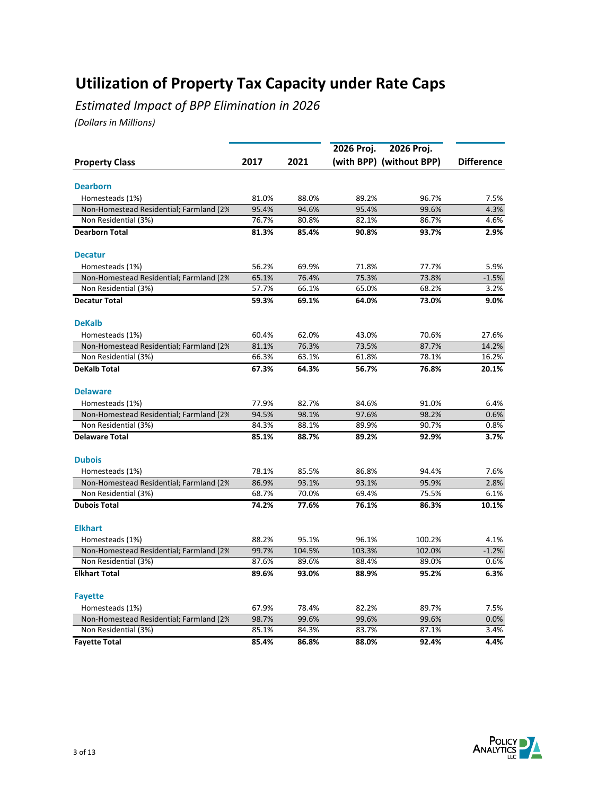*Estimated Impact of BPP Elimination in 2026*

|                                          |       |        | 2026 Proj. | 2026 Proj.               |                   |
|------------------------------------------|-------|--------|------------|--------------------------|-------------------|
| <b>Property Class</b>                    | 2017  | 2021   |            | (with BPP) (without BPP) | <b>Difference</b> |
|                                          |       |        |            |                          |                   |
| <b>Dearborn</b>                          |       |        |            |                          |                   |
| Homesteads (1%)                          | 81.0% | 88.0%  | 89.2%      | 96.7%                    | 7.5%              |
| Non-Homestead Residential; Farmland (2%) | 95.4% | 94.6%  | 95.4%      | 99.6%                    | 4.3%              |
| Non Residential (3%)                     | 76.7% | 80.8%  | 82.1%      | 86.7%                    | 4.6%              |
| <b>Dearborn Total</b>                    | 81.3% | 85.4%  | 90.8%      | 93.7%                    | 2.9%              |
| <b>Decatur</b>                           |       |        |            |                          |                   |
| Homesteads (1%)                          | 56.2% | 69.9%  | 71.8%      | 77.7%                    | 5.9%              |
| Non-Homestead Residential; Farmland (2%  | 65.1% | 76.4%  | 75.3%      | 73.8%                    | $-1.5%$           |
| Non Residential (3%)                     | 57.7% | 66.1%  | 65.0%      | 68.2%                    | 3.2%              |
| <b>Decatur Total</b>                     | 59.3% | 69.1%  | 64.0%      | 73.0%                    | 9.0%              |
| <b>DeKalb</b>                            |       |        |            |                          |                   |
| Homesteads (1%)                          | 60.4% | 62.0%  | 43.0%      | 70.6%                    | 27.6%             |
| Non-Homestead Residential; Farmland (2%  | 81.1% | 76.3%  | 73.5%      | 87.7%                    | 14.2%             |
| Non Residential (3%)                     | 66.3% | 63.1%  | 61.8%      | 78.1%                    | 16.2%             |
| <b>DeKalb Total</b>                      | 67.3% | 64.3%  | 56.7%      | 76.8%                    | 20.1%             |
| <b>Delaware</b>                          |       |        |            |                          |                   |
| Homesteads (1%)                          | 77.9% | 82.7%  | 84.6%      | 91.0%                    | 6.4%              |
| Non-Homestead Residential; Farmland (2%  | 94.5% | 98.1%  | 97.6%      | 98.2%                    | 0.6%              |
| Non Residential (3%)                     | 84.3% | 88.1%  | 89.9%      | 90.7%                    | 0.8%              |
| <b>Delaware Total</b>                    | 85.1% | 88.7%  | 89.2%      | 92.9%                    | 3.7%              |
| <b>Dubois</b>                            |       |        |            |                          |                   |
| Homesteads (1%)                          | 78.1% | 85.5%  | 86.8%      | 94.4%                    | 7.6%              |
| Non-Homestead Residential; Farmland (2%) | 86.9% | 93.1%  | 93.1%      | 95.9%                    | 2.8%              |
| Non Residential (3%)                     | 68.7% | 70.0%  | 69.4%      | 75.5%                    | 6.1%              |
| <b>Dubois Total</b>                      | 74.2% | 77.6%  | 76.1%      | 86.3%                    | 10.1%             |
| <b>Elkhart</b>                           |       |        |            |                          |                   |
| Homesteads (1%)                          | 88.2% | 95.1%  | 96.1%      | 100.2%                   | 4.1%              |
| Non-Homestead Residential; Farmland (2%) | 99.7% | 104.5% | 103.3%     | 102.0%                   | $-1.2%$           |
| Non Residential (3%)                     | 87.6% | 89.6%  | 88.4%      | 89.0%                    | 0.6%              |
| <b>Elkhart Total</b>                     | 89.6% | 93.0%  | 88.9%      | 95.2%                    | 6.3%              |
| <b>Fayette</b>                           |       |        |            |                          |                   |
| Homesteads (1%)                          | 67.9% | 78.4%  | 82.2%      | 89.7%                    | 7.5%              |
| Non-Homestead Residential; Farmland (2%) | 98.7% | 99.6%  | 99.6%      | 99.6%                    | 0.0%              |
| Non Residential (3%)                     | 85.1% | 84.3%  | 83.7%      | 87.1%                    | 3.4%              |
| <b>Fayette Total</b>                     | 85.4% | 86.8%  | 88.0%      | 92.4%                    | 4.4%              |

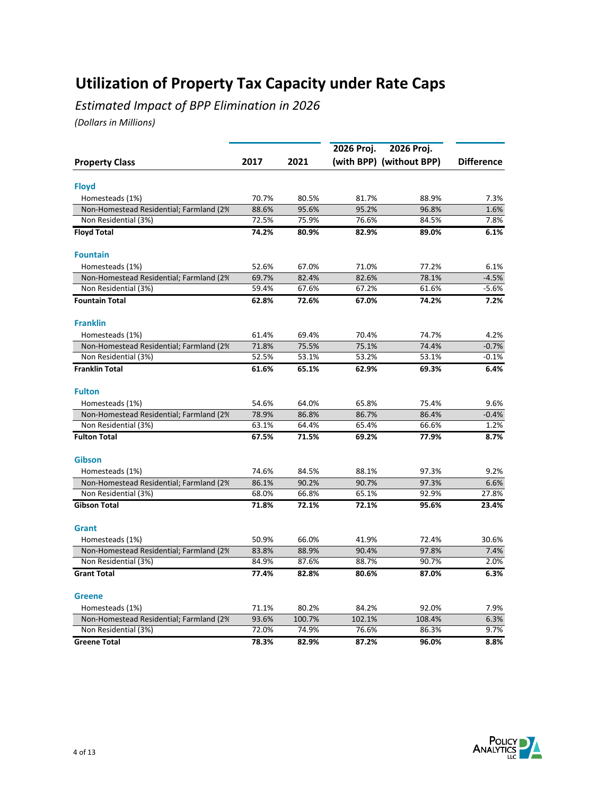*Estimated Impact of BPP Elimination in 2026*

|                                         |       |        | 2026 Proj. | 2026 Proj.               |                   |
|-----------------------------------------|-------|--------|------------|--------------------------|-------------------|
| <b>Property Class</b>                   | 2017  | 2021   |            | (with BPP) (without BPP) | <b>Difference</b> |
|                                         |       |        |            |                          |                   |
| <b>Floyd</b>                            |       |        |            |                          |                   |
| Homesteads (1%)                         | 70.7% | 80.5%  | 81.7%      | 88.9%                    | 7.3%              |
| Non-Homestead Residential; Farmland (2% | 88.6% | 95.6%  | 95.2%      | 96.8%                    | 1.6%              |
| Non Residential (3%)                    | 72.5% | 75.9%  | 76.6%      | 84.5%                    | 7.8%              |
| <b>Floyd Total</b>                      | 74.2% | 80.9%  | 82.9%      | 89.0%                    | 6.1%              |
| <b>Fountain</b>                         |       |        |            |                          |                   |
| Homesteads (1%)                         | 52.6% | 67.0%  | 71.0%      | 77.2%                    | 6.1%              |
| Non-Homestead Residential; Farmland (2% | 69.7% | 82.4%  | 82.6%      | 78.1%                    | $-4.5%$           |
| Non Residential (3%)                    | 59.4% | 67.6%  | 67.2%      | 61.6%                    | $-5.6%$           |
| <b>Fountain Total</b>                   | 62.8% | 72.6%  | 67.0%      | 74.2%                    | 7.2%              |
| <b>Franklin</b>                         |       |        |            |                          |                   |
| Homesteads (1%)                         | 61.4% | 69.4%  | 70.4%      | 74.7%                    | 4.2%              |
| Non-Homestead Residential; Farmland (2% | 71.8% | 75.5%  | 75.1%      | 74.4%                    | $-0.7%$           |
| Non Residential (3%)                    | 52.5% | 53.1%  | 53.2%      | 53.1%                    | $-0.1%$           |
| <b>Franklin Total</b>                   | 61.6% | 65.1%  | 62.9%      | 69.3%                    | 6.4%              |
| <b>Fulton</b>                           |       |        |            |                          |                   |
| Homesteads (1%)                         | 54.6% | 64.0%  | 65.8%      | 75.4%                    | 9.6%              |
| Non-Homestead Residential; Farmland (2% | 78.9% | 86.8%  | 86.7%      | 86.4%                    | $-0.4%$           |
| Non Residential (3%)                    | 63.1% | 64.4%  | 65.4%      | 66.6%                    | 1.2%              |
| <b>Fulton Total</b>                     | 67.5% | 71.5%  | 69.2%      | 77.9%                    | 8.7%              |
| Gibson                                  |       |        |            |                          |                   |
| Homesteads (1%)                         | 74.6% | 84.5%  | 88.1%      | 97.3%                    | 9.2%              |
| Non-Homestead Residential; Farmland (2% | 86.1% | 90.2%  | 90.7%      | 97.3%                    | 6.6%              |
| Non Residential (3%)                    | 68.0% | 66.8%  | 65.1%      | 92.9%                    | 27.8%             |
| <b>Gibson Total</b>                     | 71.8% | 72.1%  | 72.1%      | 95.6%                    | 23.4%             |
| <b>Grant</b>                            |       |        |            |                          |                   |
| Homesteads (1%)                         | 50.9% | 66.0%  | 41.9%      | 72.4%                    | 30.6%             |
| Non-Homestead Residential; Farmland (2% | 83.8% | 88.9%  | 90.4%      | 97.8%                    | 7.4%              |
| Non Residential (3%)                    | 84.9% | 87.6%  | 88.7%      | 90.7%                    | 2.0%              |
| <b>Grant Total</b>                      | 77.4% | 82.8%  | 80.6%      | 87.0%                    | 6.3%              |
| <b>Greene</b>                           |       |        |            |                          |                   |
| Homesteads (1%)                         | 71.1% | 80.2%  | 84.2%      | 92.0%                    | 7.9%              |
| Non-Homestead Residential; Farmland (2% | 93.6% | 100.7% | 102.1%     | 108.4%                   | 6.3%              |
| Non Residential (3%)                    | 72.0% | 74.9%  | 76.6%      | 86.3%                    | 9.7%              |
| <b>Greene Total</b>                     | 78.3% | 82.9%  | 87.2%      | 96.0%                    | 8.8%              |

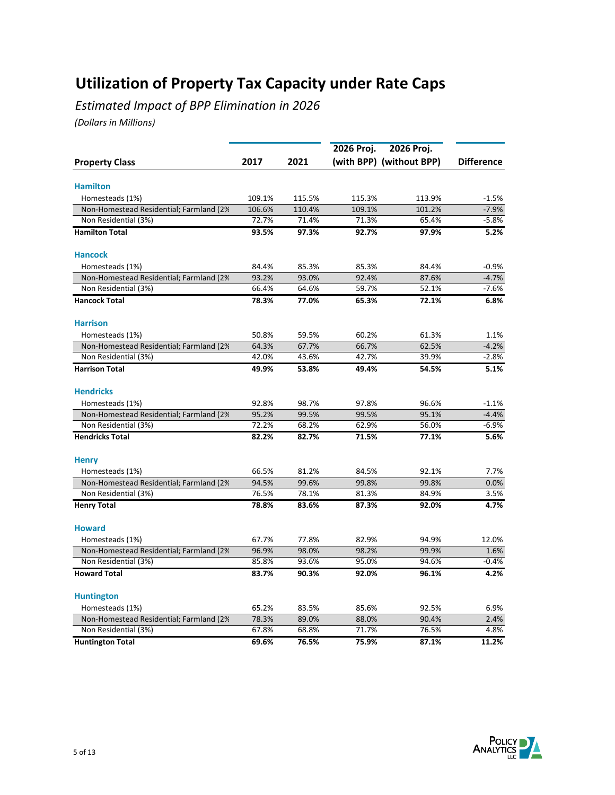*Estimated Impact of BPP Elimination in 2026*

|                                          |                |                | 2026 Proj. | 2026 Proj.               |                   |
|------------------------------------------|----------------|----------------|------------|--------------------------|-------------------|
| <b>Property Class</b>                    | 2017           | 2021           |            | (with BPP) (without BPP) | <b>Difference</b> |
|                                          |                |                |            |                          |                   |
| <b>Hamilton</b>                          |                |                |            |                          |                   |
| Homesteads (1%)                          | 109.1%         | 115.5%         | 115.3%     | 113.9%                   | $-1.5%$           |
| Non-Homestead Residential; Farmland (2%) | 106.6%         | 110.4%         | 109.1%     | 101.2%                   | $-7.9%$           |
| Non Residential (3%)                     | 72.7%          | 71.4%          | 71.3%      | 65.4%                    | $-5.8%$           |
| <b>Hamilton Total</b>                    | 93.5%          | 97.3%          | 92.7%      | 97.9%                    | 5.2%              |
| <b>Hancock</b>                           |                |                |            |                          |                   |
| Homesteads (1%)                          | 84.4%          | 85.3%          | 85.3%      | 84.4%                    | $-0.9%$           |
| Non-Homestead Residential; Farmland (2%  | 93.2%          | 93.0%          | 92.4%      | 87.6%                    | $-4.7%$           |
| Non Residential (3%)                     | 66.4%          | 64.6%          | 59.7%      | 52.1%                    | $-7.6%$           |
| <b>Hancock Total</b>                     | 78.3%          | 77.0%          | 65.3%      | 72.1%                    | 6.8%              |
| <b>Harrison</b>                          |                |                |            |                          |                   |
| Homesteads (1%)                          | 50.8%          | 59.5%          | 60.2%      | 61.3%                    | 1.1%              |
| Non-Homestead Residential; Farmland (2%  | 64.3%          | 67.7%          | 66.7%      | 62.5%                    | $-4.2%$           |
| Non Residential (3%)                     | 42.0%          | 43.6%          | 42.7%      | 39.9%                    | $-2.8%$           |
| <b>Harrison Total</b>                    | 49.9%          | 53.8%          | 49.4%      | 54.5%                    | 5.1%              |
| <b>Hendricks</b>                         |                |                |            |                          |                   |
| Homesteads (1%)                          | 92.8%          | 98.7%          | 97.8%      | 96.6%                    | $-1.1%$           |
| Non-Homestead Residential; Farmland (2%  | 95.2%          | 99.5%          | 99.5%      | 95.1%                    | $-4.4%$           |
| Non Residential (3%)                     | 72.2%          | 68.2%          | 62.9%      | 56.0%                    | $-6.9%$           |
| <b>Hendricks Total</b>                   | 82.2%          | 82.7%          | 71.5%      | 77.1%                    | 5.6%              |
| <b>Henry</b>                             |                |                |            |                          |                   |
| Homesteads (1%)                          | 66.5%          | 81.2%          | 84.5%      | 92.1%                    | 7.7%              |
| Non-Homestead Residential; Farmland (2%) | 94.5%          | 99.6%          | 99.8%      | 99.8%                    | 0.0%              |
| Non Residential (3%)                     | 76.5%          | 78.1%          | 81.3%      | 84.9%                    | 3.5%              |
| <b>Henry Total</b>                       | 78.8%          | 83.6%          | 87.3%      | 92.0%                    | 4.7%              |
| <b>Howard</b>                            |                |                |            |                          |                   |
|                                          |                |                | 82.9%      |                          |                   |
| Homesteads (1%)                          | 67.7%<br>96.9% | 77.8%<br>98.0% | 98.2%      | 94.9%<br>99.9%           | 12.0%<br>1.6%     |
| Non-Homestead Residential; Farmland (2%) | 85.8%          | 93.6%          | 95.0%      | 94.6%                    | $-0.4%$           |
| Non Residential (3%)                     |                |                |            |                          |                   |
| <b>Howard Total</b>                      | 83.7%          | 90.3%          | 92.0%      | 96.1%                    | 4.2%              |
| <b>Huntington</b>                        |                |                |            |                          |                   |
| Homesteads (1%)                          | 65.2%          | 83.5%          | 85.6%      | 92.5%                    | 6.9%              |
| Non-Homestead Residential; Farmland (2%) | 78.3%          | 89.0%          | 88.0%      | 90.4%                    | 2.4%              |
| Non Residential (3%)                     | 67.8%          | 68.8%          | 71.7%      | 76.5%                    | 4.8%              |
| <b>Huntington Total</b>                  | 69.6%          | 76.5%          | 75.9%      | 87.1%                    | 11.2%             |

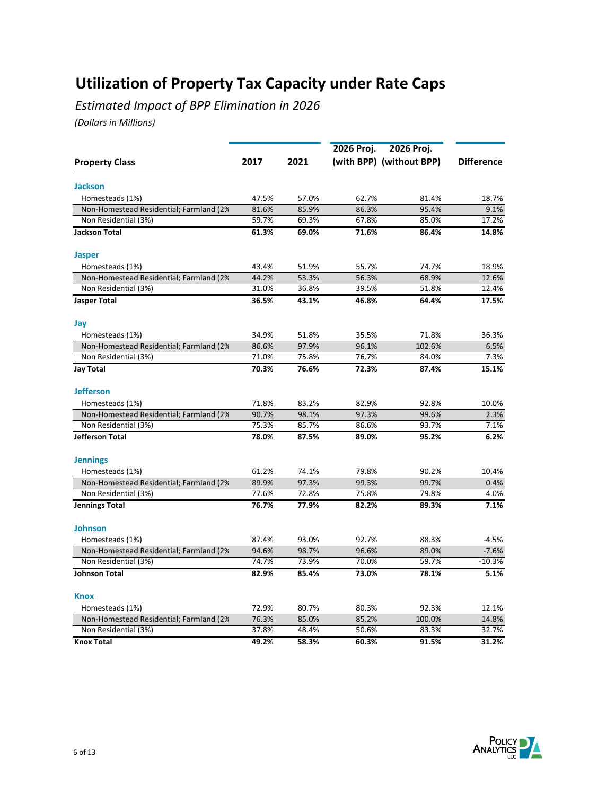*Estimated Impact of BPP Elimination in 2026*

|                                          |       |       | 2026 Proj. | 2026 Proj.               |                   |
|------------------------------------------|-------|-------|------------|--------------------------|-------------------|
| <b>Property Class</b>                    | 2017  | 2021  |            | (with BPP) (without BPP) | <b>Difference</b> |
|                                          |       |       |            |                          |                   |
| <b>Jackson</b>                           |       |       |            |                          |                   |
| Homesteads (1%)                          | 47.5% | 57.0% | 62.7%      | 81.4%                    | 18.7%             |
| Non-Homestead Residential; Farmland (2%) | 81.6% | 85.9% | 86.3%      | 95.4%                    | 9.1%              |
| Non Residential (3%)                     | 59.7% | 69.3% | 67.8%      | 85.0%                    | 17.2%             |
| <b>Jackson Total</b>                     | 61.3% | 69.0% | 71.6%      | 86.4%                    | 14.8%             |
| <b>Jasper</b>                            |       |       |            |                          |                   |
| Homesteads (1%)                          | 43.4% | 51.9% | 55.7%      | 74.7%                    | 18.9%             |
| Non-Homestead Residential; Farmland (2%  | 44.2% | 53.3% | 56.3%      | 68.9%                    | 12.6%             |
| Non Residential (3%)                     | 31.0% | 36.8% | 39.5%      | 51.8%                    | 12.4%             |
| <b>Jasper Total</b>                      | 36.5% | 43.1% | 46.8%      | 64.4%                    | 17.5%             |
| Jay                                      |       |       |            |                          |                   |
| Homesteads (1%)                          | 34.9% | 51.8% | 35.5%      | 71.8%                    | 36.3%             |
| Non-Homestead Residential; Farmland (2%  | 86.6% | 97.9% | 96.1%      | 102.6%                   | 6.5%              |
| Non Residential (3%)                     | 71.0% | 75.8% | 76.7%      | 84.0%                    | 7.3%              |
| Jay Total                                | 70.3% | 76.6% | 72.3%      | 87.4%                    | 15.1%             |
| <b>Jefferson</b>                         |       |       |            |                          |                   |
| Homesteads (1%)                          | 71.8% | 83.2% | 82.9%      | 92.8%                    | 10.0%             |
| Non-Homestead Residential; Farmland (2%  | 90.7% | 98.1% | 97.3%      | 99.6%                    | 2.3%              |
| Non Residential (3%)                     | 75.3% | 85.7% | 86.6%      | 93.7%                    | 7.1%              |
| Jefferson Total                          | 78.0% | 87.5% | 89.0%      | 95.2%                    | 6.2%              |
| <b>Jennings</b>                          |       |       |            |                          |                   |
| Homesteads (1%)                          | 61.2% | 74.1% | 79.8%      | 90.2%                    | 10.4%             |
| Non-Homestead Residential; Farmland (2%) | 89.9% | 97.3% | 99.3%      | 99.7%                    | 0.4%              |
| Non Residential (3%)                     | 77.6% | 72.8% | 75.8%      | 79.8%                    | 4.0%              |
| <b>Jennings Total</b>                    | 76.7% | 77.9% | 82.2%      | 89.3%                    | 7.1%              |
| <b>Johnson</b>                           |       |       |            |                          |                   |
| Homesteads (1%)                          | 87.4% | 93.0% | 92.7%      | 88.3%                    | $-4.5%$           |
| Non-Homestead Residential; Farmland (2%  | 94.6% | 98.7% | 96.6%      | 89.0%                    | $-7.6%$           |
| Non Residential (3%)                     | 74.7% | 73.9% | 70.0%      | 59.7%                    | $-10.3%$          |
| <b>Johnson Total</b>                     | 82.9% | 85.4% | 73.0%      | 78.1%                    | 5.1%              |
| <b>Knox</b>                              |       |       |            |                          |                   |
| Homesteads (1%)                          | 72.9% | 80.7% | 80.3%      | 92.3%                    | 12.1%             |
| Non-Homestead Residential; Farmland (2%  | 76.3% | 85.0% | 85.2%      | 100.0%                   | 14.8%             |
| Non Residential (3%)                     | 37.8% | 48.4% | 50.6%      | 83.3%                    | 32.7%             |
| <b>Knox Total</b>                        | 49.2% | 58.3% | 60.3%      | 91.5%                    | 31.2%             |

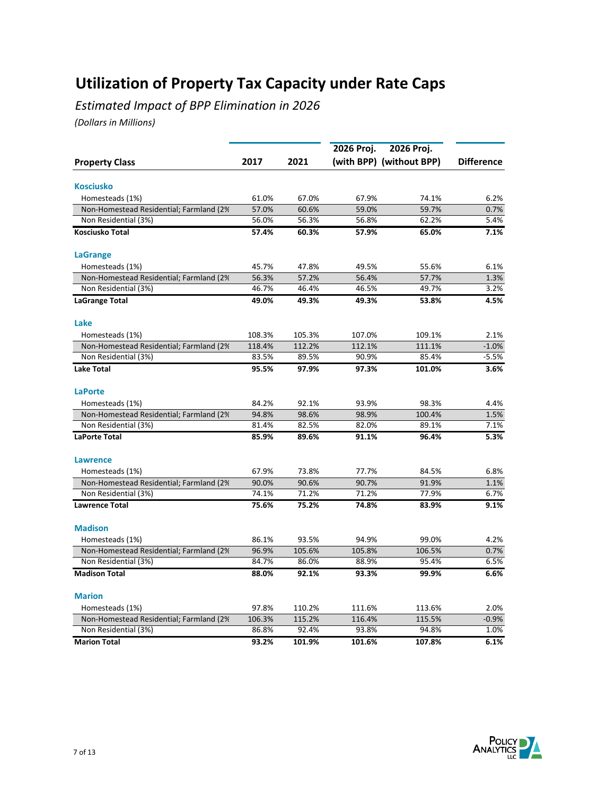*Estimated Impact of BPP Elimination in 2026*

|                                          |        |        | 2026 Proj. | 2026 Proj.               |                   |
|------------------------------------------|--------|--------|------------|--------------------------|-------------------|
| <b>Property Class</b>                    | 2017   | 2021   |            | (with BPP) (without BPP) | <b>Difference</b> |
|                                          |        |        |            |                          |                   |
| <b>Kosciusko</b>                         |        |        |            |                          |                   |
| Homesteads (1%)                          | 61.0%  | 67.0%  | 67.9%      | 74.1%                    | 6.2%              |
| Non-Homestead Residential; Farmland (2%) | 57.0%  | 60.6%  | 59.0%      | 59.7%                    | 0.7%              |
| Non Residential (3%)                     | 56.0%  | 56.3%  | 56.8%      | 62.2%                    | 5.4%              |
| Kosciusko Total                          | 57.4%  | 60.3%  | 57.9%      | 65.0%                    | 7.1%              |
| <b>LaGrange</b>                          |        |        |            |                          |                   |
| Homesteads (1%)                          | 45.7%  | 47.8%  | 49.5%      | 55.6%                    | 6.1%              |
| Non-Homestead Residential; Farmland (2%) | 56.3%  | 57.2%  | 56.4%      | 57.7%                    | 1.3%              |
| Non Residential (3%)                     | 46.7%  | 46.4%  | 46.5%      | 49.7%                    | 3.2%              |
| <b>LaGrange Total</b>                    | 49.0%  | 49.3%  | 49.3%      | 53.8%                    | 4.5%              |
| Lake                                     |        |        |            |                          |                   |
| Homesteads (1%)                          | 108.3% | 105.3% | 107.0%     | 109.1%                   | 2.1%              |
| Non-Homestead Residential; Farmland (2%  | 118.4% | 112.2% | 112.1%     | 111.1%                   | $-1.0%$           |
| Non Residential (3%)                     | 83.5%  | 89.5%  | 90.9%      | 85.4%                    | $-5.5%$           |
| <b>Lake Total</b>                        | 95.5%  | 97.9%  | 97.3%      | 101.0%                   | 3.6%              |
| <b>LaPorte</b>                           |        |        |            |                          |                   |
| Homesteads (1%)                          | 84.2%  | 92.1%  | 93.9%      | 98.3%                    | 4.4%              |
| Non-Homestead Residential; Farmland (2%  | 94.8%  | 98.6%  | 98.9%      | 100.4%                   | 1.5%              |
| Non Residential (3%)                     | 81.4%  | 82.5%  | 82.0%      | 89.1%                    | 7.1%              |
| <b>LaPorte Total</b>                     | 85.9%  | 89.6%  | 91.1%      | 96.4%                    | 5.3%              |
|                                          |        |        |            |                          |                   |
| <b>Lawrence</b>                          |        |        |            |                          |                   |
| Homesteads (1%)                          | 67.9%  | 73.8%  | 77.7%      | 84.5%                    | 6.8%              |
| Non-Homestead Residential; Farmland (2%) | 90.0%  | 90.6%  | 90.7%      | 91.9%                    | 1.1%              |
| Non Residential (3%)                     | 74.1%  | 71.2%  | 71.2%      | 77.9%                    | 6.7%              |
| <b>Lawrence Total</b>                    | 75.6%  | 75.2%  | 74.8%      | 83.9%                    | 9.1%              |
| <b>Madison</b>                           |        |        |            |                          |                   |
| Homesteads (1%)                          | 86.1%  | 93.5%  | 94.9%      | 99.0%                    | 4.2%              |
| Non-Homestead Residential; Farmland (2%) | 96.9%  | 105.6% | 105.8%     | 106.5%                   | 0.7%              |
| Non Residential (3%)                     | 84.7%  | 86.0%  | 88.9%      | 95.4%                    | 6.5%              |
| <b>Madison Total</b>                     | 88.0%  | 92.1%  | 93.3%      | 99.9%                    | 6.6%              |
| <b>Marion</b>                            |        |        |            |                          |                   |
| Homesteads (1%)                          | 97.8%  | 110.2% | 111.6%     | 113.6%                   | 2.0%              |
| Non-Homestead Residential; Farmland (2%) | 106.3% | 115.2% | 116.4%     | 115.5%                   | $-0.9%$           |
| Non Residential (3%)                     | 86.8%  | 92.4%  | 93.8%      | 94.8%                    | 1.0%              |
| <b>Marion Total</b>                      | 93.2%  | 101.9% | 101.6%     | 107.8%                   | 6.1%              |

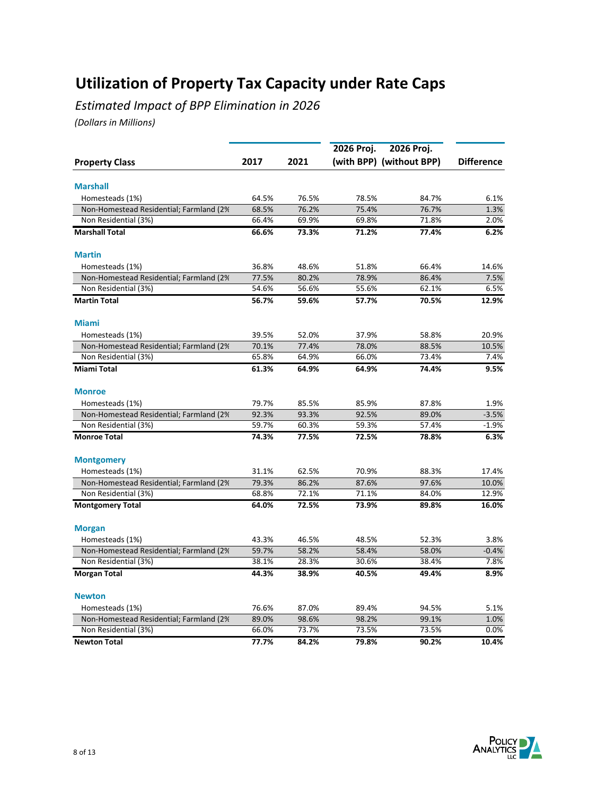*Estimated Impact of BPP Elimination in 2026*

|                                          |       |       | 2026 Proj. | 2026 Proj.               |                   |
|------------------------------------------|-------|-------|------------|--------------------------|-------------------|
| <b>Property Class</b>                    | 2017  | 2021  |            | (with BPP) (without BPP) | <b>Difference</b> |
|                                          |       |       |            |                          |                   |
| <b>Marshall</b>                          |       |       |            |                          |                   |
| Homesteads (1%)                          | 64.5% | 76.5% | 78.5%      | 84.7%                    | 6.1%              |
| Non-Homestead Residential; Farmland (2%) | 68.5% | 76.2% | 75.4%      | 76.7%                    | 1.3%              |
| Non Residential (3%)                     | 66.4% | 69.9% | 69.8%      | 71.8%                    | 2.0%              |
| <b>Marshall Total</b>                    | 66.6% | 73.3% | 71.2%      | 77.4%                    | 6.2%              |
| <b>Martin</b>                            |       |       |            |                          |                   |
| Homesteads (1%)                          | 36.8% | 48.6% | 51.8%      | 66.4%                    | 14.6%             |
| Non-Homestead Residential; Farmland (2%) | 77.5% | 80.2% | 78.9%      | 86.4%                    | 7.5%              |
| Non Residential (3%)                     | 54.6% | 56.6% | 55.6%      | 62.1%                    | 6.5%              |
| <b>Martin Total</b>                      | 56.7% | 59.6% | 57.7%      | 70.5%                    | 12.9%             |
| <b>Miami</b>                             |       |       |            |                          |                   |
| Homesteads (1%)                          | 39.5% | 52.0% | 37.9%      | 58.8%                    | 20.9%             |
| Non-Homestead Residential; Farmland (2%  | 70.1% | 77.4% | 78.0%      | 88.5%                    | 10.5%             |
| Non Residential (3%)                     | 65.8% | 64.9% | 66.0%      | 73.4%                    | 7.4%              |
| <b>Miami Total</b>                       | 61.3% | 64.9% | 64.9%      | 74.4%                    | 9.5%              |
| <b>Monroe</b>                            |       |       |            |                          |                   |
| Homesteads (1%)                          | 79.7% | 85.5% | 85.9%      | 87.8%                    | 1.9%              |
| Non-Homestead Residential; Farmland (2%  | 92.3% | 93.3% | 92.5%      | 89.0%                    | $-3.5%$           |
| Non Residential (3%)                     | 59.7% | 60.3% | 59.3%      | 57.4%                    | $-1.9%$           |
| <b>Monroe Total</b>                      | 74.3% | 77.5% | 72.5%      | 78.8%                    | 6.3%              |
| <b>Montgomery</b>                        |       |       |            |                          |                   |
| Homesteads (1%)                          | 31.1% | 62.5% | 70.9%      | 88.3%                    | 17.4%             |
| Non-Homestead Residential; Farmland (2%) | 79.3% | 86.2% | 87.6%      | 97.6%                    | 10.0%             |
| Non Residential (3%)                     | 68.8% | 72.1% | 71.1%      | 84.0%                    | 12.9%             |
| <b>Montgomery Total</b>                  | 64.0% | 72.5% | 73.9%      | 89.8%                    | 16.0%             |
|                                          |       |       |            |                          |                   |
| <b>Morgan</b>                            |       | 46.5% |            |                          |                   |
| Homesteads (1%)                          | 43.3% |       | 48.5%      | 52.3%                    | 3.8%              |
| Non-Homestead Residential; Farmland (2%) | 59.7% | 58.2% | 58.4%      | 58.0%                    | $-0.4%$           |
| Non Residential (3%)                     | 38.1% | 28.3% | 30.6%      | 38.4%                    | 7.8%              |
| <b>Morgan Total</b>                      | 44.3% | 38.9% | 40.5%      | 49.4%                    | 8.9%              |
| <b>Newton</b>                            |       |       |            |                          |                   |
| Homesteads (1%)                          | 76.6% | 87.0% | 89.4%      | 94.5%                    | 5.1%              |
| Non-Homestead Residential; Farmland (2%) | 89.0% | 98.6% | 98.2%      | 99.1%                    | 1.0%              |
| Non Residential (3%)                     | 66.0% | 73.7% | 73.5%      | 73.5%                    | 0.0%              |
| <b>Newton Total</b>                      | 77.7% | 84.2% | 79.8%      | 90.2%                    | 10.4%             |

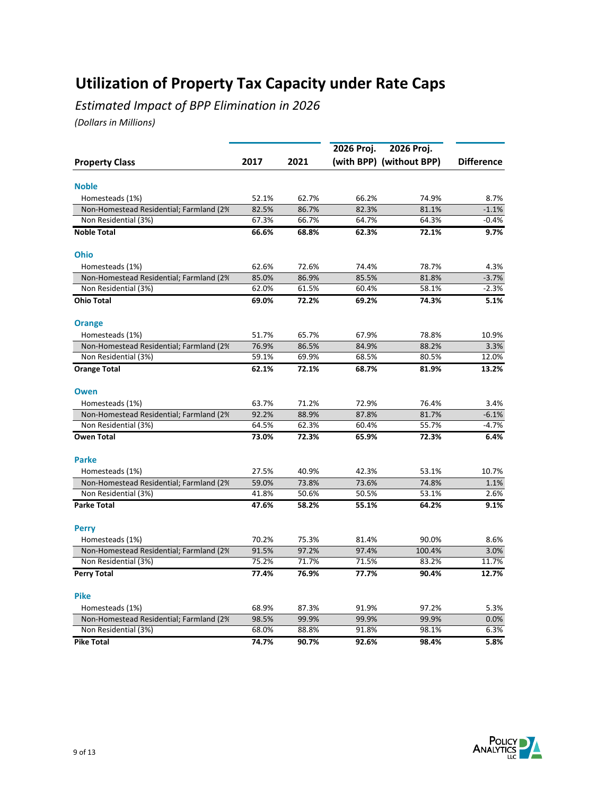*Estimated Impact of BPP Elimination in 2026*

|                                         |       |       | 2026 Proj. | 2026 Proj.               |                   |
|-----------------------------------------|-------|-------|------------|--------------------------|-------------------|
| <b>Property Class</b>                   | 2017  | 2021  |            | (with BPP) (without BPP) | <b>Difference</b> |
|                                         |       |       |            |                          |                   |
| <b>Noble</b>                            |       |       |            |                          |                   |
| Homesteads (1%)                         | 52.1% | 62.7% | 66.2%      | 74.9%                    | 8.7%              |
| Non-Homestead Residential; Farmland (2% | 82.5% | 86.7% | 82.3%      | 81.1%                    | $-1.1%$           |
| Non Residential (3%)                    | 67.3% | 66.7% | 64.7%      | 64.3%                    | -0.4%             |
| <b>Noble Total</b>                      | 66.6% | 68.8% | 62.3%      | 72.1%                    | 9.7%              |
| <b>Ohio</b>                             |       |       |            |                          |                   |
| Homesteads (1%)                         | 62.6% | 72.6% | 74.4%      | 78.7%                    | 4.3%              |
| Non-Homestead Residential; Farmland (2% | 85.0% | 86.9% | 85.5%      | 81.8%                    | $-3.7%$           |
| Non Residential (3%)                    | 62.0% | 61.5% | 60.4%      | 58.1%                    | $-2.3%$           |
| <b>Ohio Total</b>                       | 69.0% | 72.2% | 69.2%      | 74.3%                    | 5.1%              |
| <b>Orange</b>                           |       |       |            |                          |                   |
| Homesteads (1%)                         | 51.7% | 65.7% | 67.9%      | 78.8%                    | 10.9%             |
| Non-Homestead Residential; Farmland (2% | 76.9% | 86.5% | 84.9%      | 88.2%                    | 3.3%              |
| Non Residential (3%)                    | 59.1% | 69.9% | 68.5%      | 80.5%                    | 12.0%             |
| <b>Orange Total</b>                     | 62.1% | 72.1% | 68.7%      | 81.9%                    | 13.2%             |
| <b>Owen</b>                             |       |       |            |                          |                   |
| Homesteads (1%)                         | 63.7% | 71.2% | 72.9%      | 76.4%                    | 3.4%              |
| Non-Homestead Residential; Farmland (2% | 92.2% | 88.9% | 87.8%      | 81.7%                    | $-6.1%$           |
| Non Residential (3%)                    | 64.5% | 62.3% | 60.4%      | 55.7%                    | $-4.7%$           |
| <b>Owen Total</b>                       | 73.0% | 72.3% | 65.9%      | 72.3%                    | 6.4%              |
| <b>Parke</b>                            |       |       |            |                          |                   |
| Homesteads (1%)                         | 27.5% | 40.9% | 42.3%      | 53.1%                    | 10.7%             |
| Non-Homestead Residential; Farmland (2% | 59.0% | 73.8% | 73.6%      | 74.8%                    | 1.1%              |
| Non Residential (3%)                    | 41.8% | 50.6% | 50.5%      | 53.1%                    | 2.6%              |
| <b>Parke Total</b>                      | 47.6% | 58.2% | 55.1%      | 64.2%                    | 9.1%              |
|                                         |       |       |            |                          |                   |
| <b>Perry</b>                            |       |       |            |                          |                   |
| Homesteads (1%)                         | 70.2% | 75.3% | 81.4%      | 90.0%                    | 8.6%              |
| Non-Homestead Residential; Farmland (2% | 91.5% | 97.2% | 97.4%      | 100.4%                   | 3.0%              |
| Non Residential (3%)                    | 75.2% | 71.7% | 71.5%      | 83.2%                    | 11.7%             |
| <b>Perry Total</b>                      | 77.4% | 76.9% | 77.7%      | 90.4%                    | 12.7%             |
| <b>Pike</b>                             |       |       |            |                          |                   |
| Homesteads (1%)                         | 68.9% | 87.3% | 91.9%      | 97.2%                    | 5.3%              |
| Non-Homestead Residential; Farmland (2% | 98.5% | 99.9% | 99.9%      | 99.9%                    | 0.0%              |
| Non Residential (3%)                    | 68.0% | 88.8% | 91.8%      | 98.1%                    | 6.3%              |
| <b>Pike Total</b>                       | 74.7% | 90.7% | 92.6%      | 98.4%                    | 5.8%              |

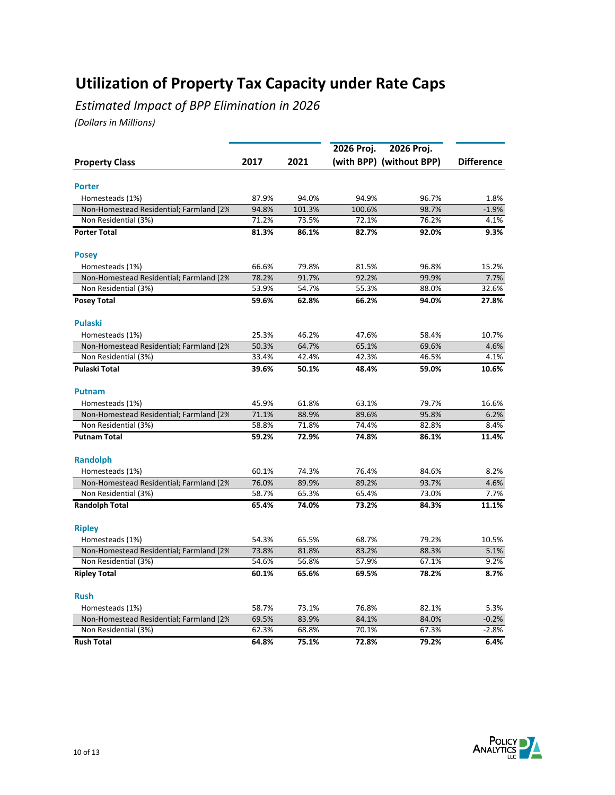*Estimated Impact of BPP Elimination in 2026*

|                                          |       |        | 2026 Proj. | 2026 Proj.               |                   |
|------------------------------------------|-------|--------|------------|--------------------------|-------------------|
| <b>Property Class</b>                    | 2017  | 2021   |            | (with BPP) (without BPP) | <b>Difference</b> |
|                                          |       |        |            |                          |                   |
| <b>Porter</b>                            |       |        |            |                          |                   |
| Homesteads (1%)                          | 87.9% | 94.0%  | 94.9%      | 96.7%                    | 1.8%              |
| Non-Homestead Residential; Farmland (2%) | 94.8% | 101.3% | 100.6%     | 98.7%                    | $-1.9%$           |
| Non Residential (3%)                     | 71.2% | 73.5%  | 72.1%      | 76.2%                    | 4.1%              |
| <b>Porter Total</b>                      | 81.3% | 86.1%  | 82.7%      | 92.0%                    | 9.3%              |
| <b>Posey</b>                             |       |        |            |                          |                   |
| Homesteads (1%)                          | 66.6% | 79.8%  | 81.5%      | 96.8%                    | 15.2%             |
| Non-Homestead Residential; Farmland (2%  | 78.2% | 91.7%  | 92.2%      | 99.9%                    | 7.7%              |
| Non Residential (3%)                     | 53.9% | 54.7%  | 55.3%      | 88.0%                    | 32.6%             |
| <b>Posey Total</b>                       | 59.6% | 62.8%  | 66.2%      | 94.0%                    | 27.8%             |
| <b>Pulaski</b>                           |       |        |            |                          |                   |
| Homesteads (1%)                          | 25.3% | 46.2%  | 47.6%      | 58.4%                    | 10.7%             |
| Non-Homestead Residential; Farmland (2%  | 50.3% | 64.7%  | 65.1%      | 69.6%                    | 4.6%              |
| Non Residential (3%)                     | 33.4% | 42.4%  | 42.3%      | 46.5%                    | 4.1%              |
| <b>Pulaski Total</b>                     | 39.6% | 50.1%  | 48.4%      | 59.0%                    | 10.6%             |
| <b>Putnam</b>                            |       |        |            |                          |                   |
| Homesteads (1%)                          | 45.9% | 61.8%  | 63.1%      | 79.7%                    | 16.6%             |
| Non-Homestead Residential; Farmland (2%  | 71.1% | 88.9%  | 89.6%      | 95.8%                    | 6.2%              |
| Non Residential (3%)                     | 58.8% | 71.8%  | 74.4%      | 82.8%                    | 8.4%              |
| <b>Putnam Total</b>                      | 59.2% | 72.9%  | 74.8%      | 86.1%                    | 11.4%             |
| <b>Randolph</b>                          |       |        |            |                          |                   |
| Homesteads (1%)                          | 60.1% | 74.3%  | 76.4%      | 84.6%                    | 8.2%              |
| Non-Homestead Residential; Farmland (2%  | 76.0% | 89.9%  | 89.2%      | 93.7%                    | 4.6%              |
| Non Residential (3%)                     | 58.7% | 65.3%  | 65.4%      | 73.0%                    | 7.7%              |
| <b>Randolph Total</b>                    | 65.4% | 74.0%  | 73.2%      | 84.3%                    | 11.1%             |
| <b>Ripley</b>                            |       |        |            |                          |                   |
| Homesteads (1%)                          | 54.3% | 65.5%  | 68.7%      | 79.2%                    | 10.5%             |
| Non-Homestead Residential; Farmland (2%  | 73.8% | 81.8%  | 83.2%      | 88.3%                    | 5.1%              |
| Non Residential (3%)                     | 54.6% | 56.8%  | 57.9%      | 67.1%                    | 9.2%              |
| <b>Ripley Total</b>                      | 60.1% | 65.6%  | 69.5%      | 78.2%                    | 8.7%              |
| <b>Rush</b>                              |       |        |            |                          |                   |
| Homesteads (1%)                          | 58.7% | 73.1%  | 76.8%      | 82.1%                    | 5.3%              |
| Non-Homestead Residential; Farmland (2%  | 69.5% | 83.9%  | 84.1%      | 84.0%                    | $-0.2%$           |
| Non Residential (3%)                     | 62.3% | 68.8%  | 70.1%      | 67.3%                    | $-2.8%$           |
| <b>Rush Total</b>                        | 64.8% | 75.1%  | 72.8%      | 79.2%                    | 6.4%              |

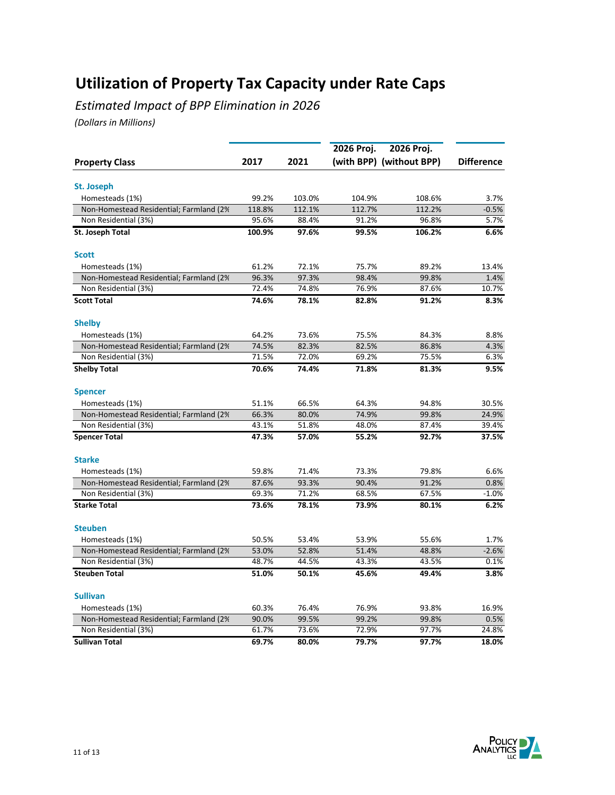*Estimated Impact of BPP Elimination in 2026*

|                                          |        |        | 2026 Proj. |                          |                   |
|------------------------------------------|--------|--------|------------|--------------------------|-------------------|
| <b>Property Class</b>                    | 2017   | 2021   |            | (with BPP) (without BPP) | <b>Difference</b> |
|                                          |        |        |            |                          |                   |
| St. Joseph                               |        |        |            |                          |                   |
| Homesteads (1%)                          | 99.2%  | 103.0% | 104.9%     | 108.6%                   | 3.7%              |
| Non-Homestead Residential; Farmland (2%) | 118.8% | 112.1% | 112.7%     | 112.2%                   | $-0.5%$           |
| Non Residential (3%)                     | 95.6%  | 88.4%  | 91.2%      | 96.8%                    | 5.7%              |
| St. Joseph Total                         | 100.9% | 97.6%  | 99.5%      | 106.2%                   | 6.6%              |
| <b>Scott</b>                             |        |        |            |                          |                   |
| Homesteads (1%)                          | 61.2%  | 72.1%  | 75.7%      | 89.2%                    | 13.4%             |
| Non-Homestead Residential; Farmland (2%  | 96.3%  | 97.3%  | 98.4%      | 99.8%                    | 1.4%              |
| Non Residential (3%)                     | 72.4%  | 74.8%  | 76.9%      | 87.6%                    | 10.7%             |
| <b>Scott Total</b>                       | 74.6%  | 78.1%  | 82.8%      | 91.2%                    | 8.3%              |
| <b>Shelby</b>                            |        |        |            |                          |                   |
| Homesteads (1%)                          | 64.2%  | 73.6%  | 75.5%      | 84.3%                    | 8.8%              |
| Non-Homestead Residential; Farmland (2%  | 74.5%  | 82.3%  | 82.5%      | 86.8%                    | 4.3%              |
| Non Residential (3%)                     | 71.5%  | 72.0%  | 69.2%      | 75.5%                    | 6.3%              |
| <b>Shelby Total</b>                      | 70.6%  | 74.4%  | 71.8%      | 81.3%                    | 9.5%              |
| <b>Spencer</b>                           |        |        |            |                          |                   |
| Homesteads (1%)                          | 51.1%  | 66.5%  | 64.3%      | 94.8%                    | 30.5%             |
| Non-Homestead Residential; Farmland (2%  | 66.3%  | 80.0%  | 74.9%      | 99.8%                    | 24.9%             |
| Non Residential (3%)                     | 43.1%  | 51.8%  | 48.0%      | 87.4%                    | 39.4%             |
| <b>Spencer Total</b>                     | 47.3%  | 57.0%  | 55.2%      | 92.7%                    | 37.5%             |
| <b>Starke</b>                            |        |        |            |                          |                   |
| Homesteads (1%)                          | 59.8%  | 71.4%  | 73.3%      | 79.8%                    | 6.6%              |
| Non-Homestead Residential; Farmland (2%) | 87.6%  | 93.3%  | 90.4%      | 91.2%                    | 0.8%              |
| Non Residential (3%)                     | 69.3%  | 71.2%  | 68.5%      | 67.5%                    | $-1.0%$           |
| <b>Starke Total</b>                      | 73.6%  | 78.1%  | 73.9%      | 80.1%                    | 6.2%              |
| <b>Steuben</b>                           |        |        |            |                          |                   |
| Homesteads (1%)                          | 50.5%  | 53.4%  | 53.9%      | 55.6%                    | 1.7%              |
| Non-Homestead Residential; Farmland (2%) | 53.0%  | 52.8%  | 51.4%      | 48.8%                    | $-2.6%$           |
| Non Residential (3%)                     | 48.7%  | 44.5%  | 43.3%      | 43.5%                    | 0.1%              |
|                                          |        |        |            |                          |                   |
| <b>Steuben Total</b>                     | 51.0%  | 50.1%  | 45.6%      | 49.4%                    | 3.8%              |
| <b>Sullivan</b>                          |        |        |            |                          |                   |
| Homesteads (1%)                          | 60.3%  | 76.4%  | 76.9%      | 93.8%                    | 16.9%             |
| Non-Homestead Residential; Farmland (2%) | 90.0%  | 99.5%  | 99.2%      | 99.8%                    | 0.5%              |
| Non Residential (3%)                     | 61.7%  | 73.6%  | 72.9%      | 97.7%                    | 24.8%             |
| <b>Sullivan Total</b>                    | 69.7%  | 80.0%  | 79.7%      | 97.7%                    | 18.0%             |

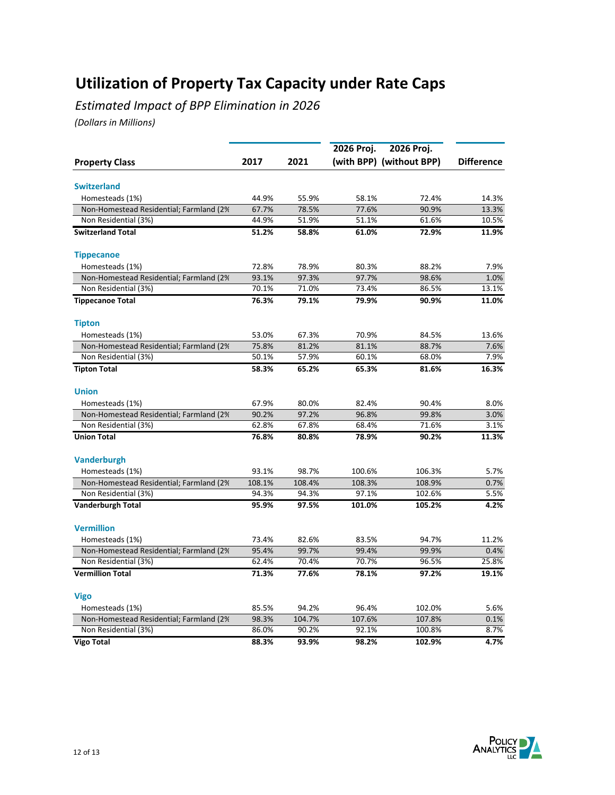*Estimated Impact of BPP Elimination in 2026*

|                                          |        |        | 2026 Proj. | 2026 Proj.               |                   |
|------------------------------------------|--------|--------|------------|--------------------------|-------------------|
| <b>Property Class</b>                    | 2017   | 2021   |            | (with BPP) (without BPP) | <b>Difference</b> |
|                                          |        |        |            |                          |                   |
| <b>Switzerland</b>                       |        |        |            |                          |                   |
| Homesteads (1%)                          | 44.9%  | 55.9%  | 58.1%      | 72.4%                    | 14.3%             |
| Non-Homestead Residential; Farmland (2%) | 67.7%  | 78.5%  | 77.6%      | 90.9%                    | 13.3%             |
| Non Residential (3%)                     | 44.9%  | 51.9%  | 51.1%      | 61.6%                    | 10.5%             |
| <b>Switzerland Total</b>                 | 51.2%  | 58.8%  | 61.0%      | 72.9%                    | 11.9%             |
| <b>Tippecanoe</b>                        |        |        |            |                          |                   |
| Homesteads (1%)                          | 72.8%  | 78.9%  | 80.3%      | 88.2%                    | 7.9%              |
| Non-Homestead Residential; Farmland (2%) | 93.1%  | 97.3%  | 97.7%      | 98.6%                    | 1.0%              |
| Non Residential (3%)                     | 70.1%  | 71.0%  | 73.4%      | 86.5%                    | 13.1%             |
| <b>Tippecanoe Total</b>                  | 76.3%  | 79.1%  | 79.9%      | 90.9%                    | 11.0%             |
| <b>Tipton</b>                            |        |        |            |                          |                   |
| Homesteads (1%)                          | 53.0%  | 67.3%  | 70.9%      | 84.5%                    | 13.6%             |
| Non-Homestead Residential; Farmland (2%  | 75.8%  | 81.2%  | 81.1%      | 88.7%                    | 7.6%              |
| Non Residential (3%)                     | 50.1%  | 57.9%  | 60.1%      | 68.0%                    | 7.9%              |
| <b>Tipton Total</b>                      | 58.3%  | 65.2%  | 65.3%      | 81.6%                    | 16.3%             |
| <b>Union</b>                             |        |        |            |                          |                   |
| Homesteads (1%)                          | 67.9%  | 80.0%  | 82.4%      | 90.4%                    | 8.0%              |
| Non-Homestead Residential; Farmland (2%  | 90.2%  | 97.2%  | 96.8%      | 99.8%                    | 3.0%              |
| Non Residential (3%)                     | 62.8%  | 67.8%  | 68.4%      | 71.6%                    | 3.1%              |
| <b>Union Total</b>                       | 76.8%  | 80.8%  | 78.9%      | 90.2%                    | 11.3%             |
|                                          |        |        |            |                          |                   |
| <b>Vanderburgh</b>                       |        |        |            |                          |                   |
| Homesteads (1%)                          | 93.1%  | 98.7%  | 100.6%     | 106.3%                   | 5.7%              |
| Non-Homestead Residential; Farmland (2%) | 108.1% | 108.4% | 108.3%     | 108.9%                   | 0.7%              |
| Non Residential (3%)                     | 94.3%  | 94.3%  | 97.1%      | 102.6%                   | 5.5%              |
| <b>Vanderburgh Total</b>                 | 95.9%  | 97.5%  | 101.0%     | 105.2%                   | 4.2%              |
| <b>Vermillion</b>                        |        |        |            |                          |                   |
| Homesteads (1%)                          | 73.4%  | 82.6%  | 83.5%      | 94.7%                    | 11.2%             |
| Non-Homestead Residential; Farmland (2%) | 95.4%  | 99.7%  | 99.4%      | 99.9%                    | 0.4%              |
| Non Residential (3%)                     | 62.4%  | 70.4%  | 70.7%      | 96.5%                    | 25.8%             |
| <b>Vermillion Total</b>                  | 71.3%  | 77.6%  | 78.1%      | 97.2%                    | 19.1%             |
| <b>Vigo</b>                              |        |        |            |                          |                   |
| Homesteads (1%)                          | 85.5%  | 94.2%  | 96.4%      | 102.0%                   | 5.6%              |
| Non-Homestead Residential; Farmland (2%) | 98.3%  | 104.7% | 107.6%     | 107.8%                   | 0.1%              |
| Non Residential (3%)                     | 86.0%  | 90.2%  | 92.1%      | 100.8%                   | 8.7%              |
| <b>Vigo Total</b>                        | 88.3%  | 93.9%  | 98.2%      | 102.9%                   | 4.7%              |